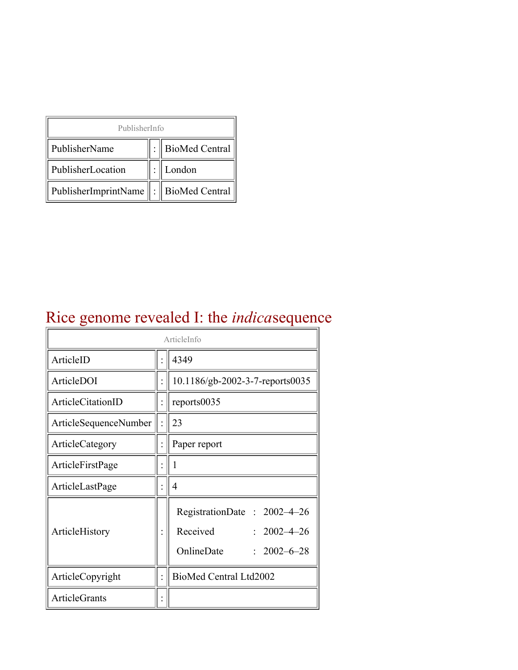| PublisherInfo                                   |  |                    |  |  |
|-------------------------------------------------|--|--------------------|--|--|
| PublisherName                                   |  | :   BioMed Central |  |  |
| PublisherLocation                               |  | London             |  |  |
| PublisherImprintName $\ \cdot\ $ BioMed Central |  |                    |  |  |

# Rice genome revealed I: the *indica*sequence

| ArticleInfo           |  |                                                                                                 |
|-----------------------|--|-------------------------------------------------------------------------------------------------|
| ArticleID             |  | 4349                                                                                            |
| ArticleDOI            |  | 10.1186/gb-2002-3-7-reports0035                                                                 |
| ArticleCitationID     |  | reports0035                                                                                     |
| ArticleSequenceNumber |  | 23                                                                                              |
| ArticleCategory       |  | Paper report                                                                                    |
| ArticleFirstPage      |  |                                                                                                 |
| ArticleLastPage       |  | 4                                                                                               |
| ArticleHistory        |  | RegistrationDate: 2002-4-26<br>Received<br>$: 2002 - 4 - 26$<br>OnlineDate<br>$: 2002 - 6 - 28$ |
| ArticleCopyright      |  | BioMed Central Ltd2002                                                                          |
| <b>ArticleGrants</b>  |  |                                                                                                 |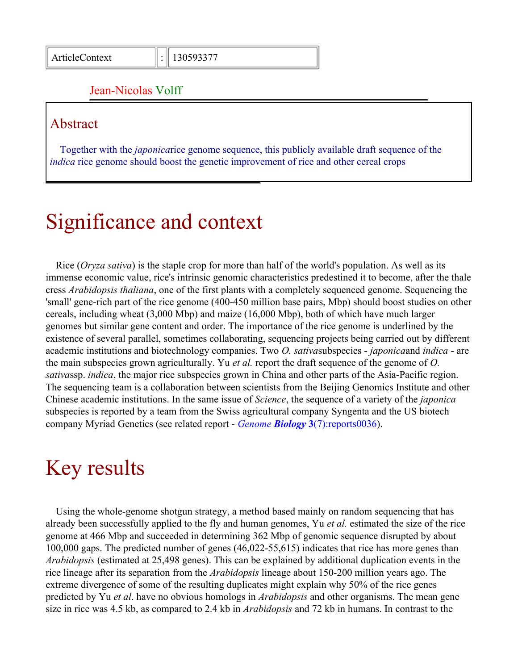#### Jean-Nicolas Volff

#### Abstract

Together with the *japonica*rice genome sequence, this publicly available draft sequence of the *indica* rice genome should boost the genetic improvement of rice and other cereal crops

# Significance and context

Rice (*Oryza sativa*) is the staple crop for more than half of the world's population. As well as its immense economic value, rice's intrinsic genomic characteristics predestined it to become, after the thale cress *Arabidopsis thaliana*, one of the first plants with a completely sequenced genome. Sequencing the 'small' gene-rich part of the rice genome (400-450 million base pairs, Mbp) should boost studies on other cereals, including wheat (3,000 Mbp) and maize (16,000 Mbp), both of which have much larger genomes but similar gene content and order. The importance of the rice genome is underlined by the existence of several parallel, sometimes collaborating, sequencing projects being carried out by different academic institutions and biotechnology companies. Two *O. sativa*subspecies - *japonica*and *indica* - are the main subspecies grown agriculturally. Yu *et al.* report the draft sequence of the genome of *O. sativa*ssp. *indica*, the major rice subspecies grown in China and other parts of the Asia-Pacific region. The sequencing team is a collaboration between scientists from the Beijing Genomics Institute and other Chinese academic institutions. In the same issue of *Science*, the sequence of a variety of the *japonica* subspecies is reported by a team from the Swiss agricultural company Syngenta and the US biotech company Myriad Genetics (see related report - *Genome Biology* **3**[\(7\):reports0036\)](http://genomebiology.com/2002/3/7/reports/0036/).

#### Key results

Using the whole-genome shotgun strategy, a method based mainly on random sequencing that has already been successfully applied to the fly and human genomes, Yu *et al.* estimated the size of the rice genome at 466 Mbp and succeeded in determining 362 Mbp of genomic sequence disrupted by about 100,000 gaps. The predicted number of genes (46,022-55,615) indicates that rice has more genes than *Arabidopsis* (estimated at 25,498 genes). This can be explained by additional duplication events in the rice lineage after its separation from the *Arabidopsis* lineage about 150-200 million years ago. The extreme divergence of some of the resulting duplicates might explain why 50% of the rice genes predicted by Yu *et al*. have no obvious homologs in *Arabidopsis* and other organisms. The mean gene size in rice was 4.5 kb, as compared to 2.4 kb in *Arabidopsis* and 72 kb in humans. In contrast to the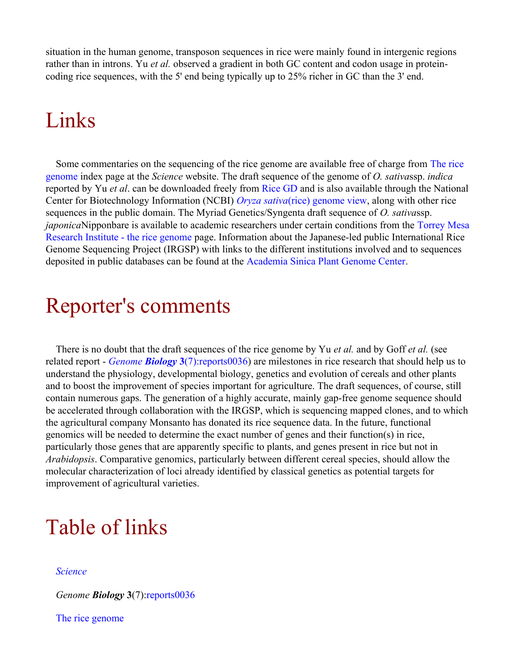situation in the human genome, transposon sequences in rice were mainly found in intergenic regions rather than in introns. Yu *et al.* observed a gradient in both GC content and codon usage in proteincoding rice sequences, with the 5' end being typically up to 25% richer in GC than the 3' end.

### Links

Some commentaries on the sequencing of the rice genome are available free of charge from [The rice](http://www.sciencemag.org/feature/data/rice/index.shtml) [genome](http://www.sciencemag.org/feature/data/rice/index.shtml) index page at the *Science* website. The draft sequence of the genome of *O. sativa*ssp. *indica* reported by Yu *et al*. can be downloaded freely from [Rice GD](http://btn.genomics.org.cn/rice) and is also available through the National Center for Biotechnology Information (NCBI) *Oryza sativa*[\(rice\) genome view,](http://www.ncbi.nlm.nih.gov/cgi-bin/Entrez/map_search?chr=rice.inf) along with other rice sequences in the public domain. The Myriad Genetics/Syngenta draft sequence of *O. sativa*ssp. *japonica*Nipponbare is available to academic researchers under certain conditions from the [Torrey Mesa](http://portal.tmri.org/rice/) [Research Institute - the rice genome](http://portal.tmri.org/rice/) page. Information about the Japanese-led public International Rice Genome Sequencing Project (IRGSP) with links to the different institutions involved and to sequences deposited in public databases can be found at the [Academia Sinica Plant Genome Center.](http://genome.sinica.edu.tw/irgsp.htm)

#### Reporter's comments

There is no doubt that the draft sequences of the rice genome by Yu *et al.* and by Goff *et al.* (see related report - *Genome Biology* **3**[\(7\):reports0036\)](http://genomebiology.com/2002/3/7/reports/0036/) are milestones in rice research that should help us to understand the physiology, developmental biology, genetics and evolution of cereals and other plants and to boost the improvement of species important for agriculture. The draft sequences, of course, still contain numerous gaps. The generation of a highly accurate, mainly gap-free genome sequence should be accelerated through collaboration with the IRGSP, which is sequencing mapped clones, and to which the agricultural company Monsanto has donated its rice sequence data. In the future, functional genomics will be needed to determine the exact number of genes and their function(s) in rice, particularly those genes that are apparently specific to plants, and genes present in rice but not in *Arabidopsis*. Comparative genomics, particularly between different cereal species, should allow the molecular characterization of loci already identified by classical genetics as potential targets for improvement of agricultural varieties.

# Table of links

#### *[Science](http://www.sciencemag.org/)*

*Genome Biology* **3**(7)[:reports0036](http://genomebiology.com/2002/3/7/reports/0036/)

[The rice genome](http://www.sciencemag.org/feature/data/rice/index.shtml)